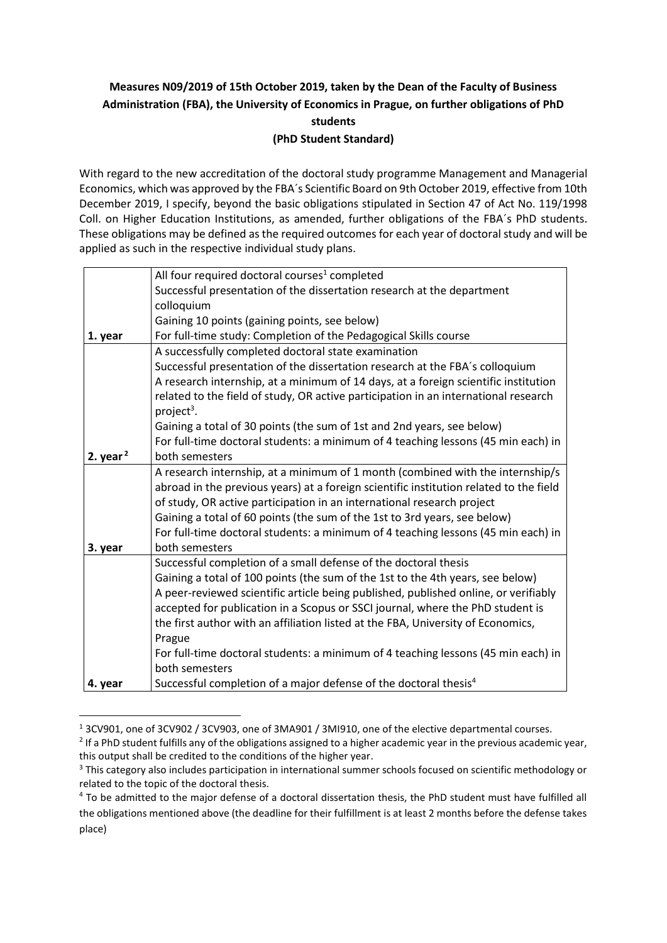# **Measures N09/2019 of 15th October 2019, taken by the Dean of the Faculty of Business Administration (FBA), the University of Economics in Prague, on further obligations of PhD students (PhD Student Standard)**

With regard to the new accreditation of the doctoral study programme Management and Managerial Economics, which was approved by the FBA´s Scientific Board on 9th October 2019, effective from 10th December 2019, I specify, beyond the basic obligations stipulated in Section 47 of Act No. 119/1998 Coll. on Higher Education Institutions, as amended, further obligations of the FBA´s PhD students. These obligations may be defined as the required outcomes for each year of doctoral study and will be applied as such in the respective individual study plans.

|             | All four required doctoral courses <sup>1</sup> completed                              |
|-------------|----------------------------------------------------------------------------------------|
|             | Successful presentation of the dissertation research at the department                 |
|             | colloquium                                                                             |
|             | Gaining 10 points (gaining points, see below)                                          |
| 1. year     | For full-time study: Completion of the Pedagogical Skills course                       |
|             | A successfully completed doctoral state examination                                    |
|             | Successful presentation of the dissertation research at the FBA's colloquium           |
|             | A research internship, at a minimum of 14 days, at a foreign scientific institution    |
|             | related to the field of study, OR active participation in an international research    |
|             | project <sup>3</sup> .                                                                 |
|             | Gaining a total of 30 points (the sum of 1st and 2nd years, see below)                 |
|             | For full-time doctoral students: a minimum of 4 teaching lessons (45 min each) in      |
| 2. year $2$ | both semesters                                                                         |
|             | A research internship, at a minimum of 1 month (combined with the internship/s         |
|             | abroad in the previous years) at a foreign scientific institution related to the field |
|             | of study, OR active participation in an international research project                 |
|             | Gaining a total of 60 points (the sum of the 1st to 3rd years, see below)              |
|             | For full-time doctoral students: a minimum of 4 teaching lessons (45 min each) in      |
| 3. year     | both semesters                                                                         |
|             | Successful completion of a small defense of the doctoral thesis                        |
|             | Gaining a total of 100 points (the sum of the 1st to the 4th years, see below)         |
|             | A peer-reviewed scientific article being published, published online, or verifiably    |
|             | accepted for publication in a Scopus or SSCI journal, where the PhD student is         |
|             | the first author with an affiliation listed at the FBA, University of Economics,       |
|             | Prague                                                                                 |
|             | For full-time doctoral students: a minimum of 4 teaching lessons (45 min each) in      |
|             | both semesters                                                                         |
| 4. year     | Successful completion of a major defense of the doctoral thesis <sup>4</sup>           |

**<sup>.</sup>** <sup>1</sup> 3CV901, one of 3CV902 / 3CV903, one of 3MA901 / 3MI910, one of the elective departmental courses.

 $2$  If a PhD student fulfills any of the obligations assigned to a higher academic year in the previous academic year, this output shall be credited to the conditions of the higher year.

<sup>&</sup>lt;sup>3</sup> This category also includes participation in international summer schools focused on scientific methodology or related to the topic of the doctoral thesis.

<sup>4</sup> To be admitted to the major defense of a doctoral dissertation thesis, the PhD student must have fulfilled all the obligations mentioned above (the deadline for their fulfillment is at least 2 months before the defense takes place)